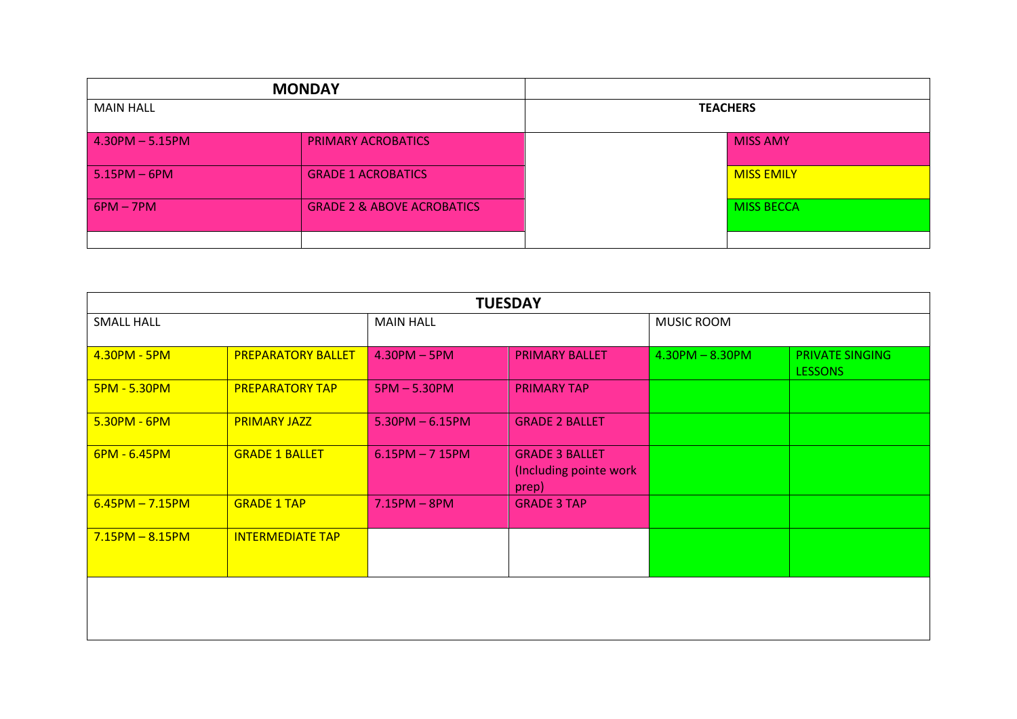|                       | <b>MONDAY</b>                         |                 |  |
|-----------------------|---------------------------------------|-----------------|--|
| <b>MAIN HALL</b>      |                                       | <b>TEACHERS</b> |  |
| $4.30$ PM $- 5.15$ PM | <b>PRIMARY ACROBATICS</b>             | <b>MISS AMY</b> |  |
| $5.15$ PM $-$ 6PM     | <b>GRADE 1 ACROBATICS</b>             | MISS EMILY      |  |
| $6PM - 7PM$           | <b>GRADE 2 &amp; ABOVE ACROBATICS</b> | MISS BECCA      |  |
|                       |                                       |                 |  |

| <b>TUESDAY</b>        |                           |                       |                                                          |                       |                                   |  |
|-----------------------|---------------------------|-----------------------|----------------------------------------------------------|-----------------------|-----------------------------------|--|
| <b>SMALL HALL</b>     |                           | <b>MAIN HALL</b>      |                                                          | <b>MUSIC ROOM</b>     |                                   |  |
| 4.30PM - 5PM          | <b>PREPARATORY BALLET</b> | $4.30$ PM $-$ 5PM     | <b>PRIMARY BALLET</b>                                    | $4.30$ PM $- 8.30$ PM | <b>PRIVATE SINGING</b><br>LESSONS |  |
| <b>5PM - 5.30PM</b>   | <b>PREPARATORY TAP</b>    | $5PM - 5.30PM$        | <b>PRIMARY TAP</b>                                       |                       |                                   |  |
| 5.30PM - 6PM          | <b>PRIMARY JAZZ</b>       | $5.30$ PM $- 6.15$ PM | <b>GRADE 2 BALLET</b>                                    |                       |                                   |  |
| 6PM - 6.45PM          | <b>GRADE 1 BALLET</b>     | $6.15$ PM $-7.15$ PM  | <b>GRADE 3 BALLET</b><br>(Including pointe work<br>prep) |                       |                                   |  |
| $6.45$ PM $- 7.15$ PM | <b>GRADE 1 TAP</b>        | $7.15$ PM $-$ 8PM     | <b>GRADE 3 TAP</b>                                       |                       |                                   |  |
| $7.15$ PM $- 8.15$ PM | <b>INTERMEDIATE TAP</b>   |                       |                                                          |                       |                                   |  |
|                       |                           |                       |                                                          |                       |                                   |  |